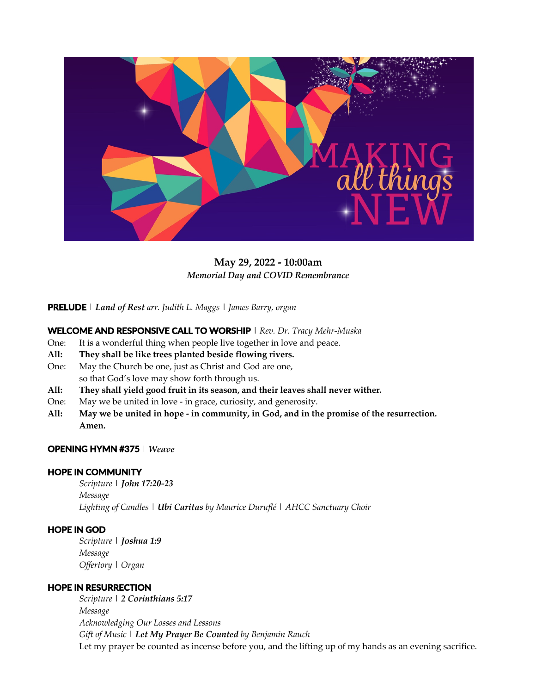

**May 29, 2022 - 10:00am** *Memorial Day and COVID Remembrance*

**PRELUDE** | *Land of Rest arr. Judith L. Maggs* | *James Barry, organ*

## **WELCOME AND RESPONSIVE CALL TO WORSHIP** | *Rev. Dr. Tracy Mehr-Muska*

- One: It is a wonderful thing when people live together in love and peace.
- **All: They shall be like trees planted beside flowing rivers.**
- One: May the Church be one, just as Christ and God are one, so that God's love may show forth through us.
- **All: They shall yield good fruit in its season, and their leaves shall never wither.**
- One: May we be united in love in grace, curiosity, and generosity.
- All: May we be united in hope in community, in God, and in the promise of the resurrection. **Amen.**

#### **OPENING HYMN #375** |*Weave*

#### **HOPE IN COMMUNITY**

*Scripture* | *John 17:20-23 Message Lighting of Candles* | *Ubi Caritas by Maurice Duruflé* | *AHCC Sanctuary Choir*

### **HOPE IN GOD**

*Scripture* | *Joshua 1:9 Message Offertory* | *Organ*

#### **HOPE IN RESURRECTION**

*Scripture* | *2 Corinthians 5:17 Message Acknowledging Our Losses and Lessons Gift of Music* | *Let My Prayer Be Counted by Benjamin Rauch* Let my prayer be counted as incense before you, and the lifting up of my hands as an evening sacrifice.